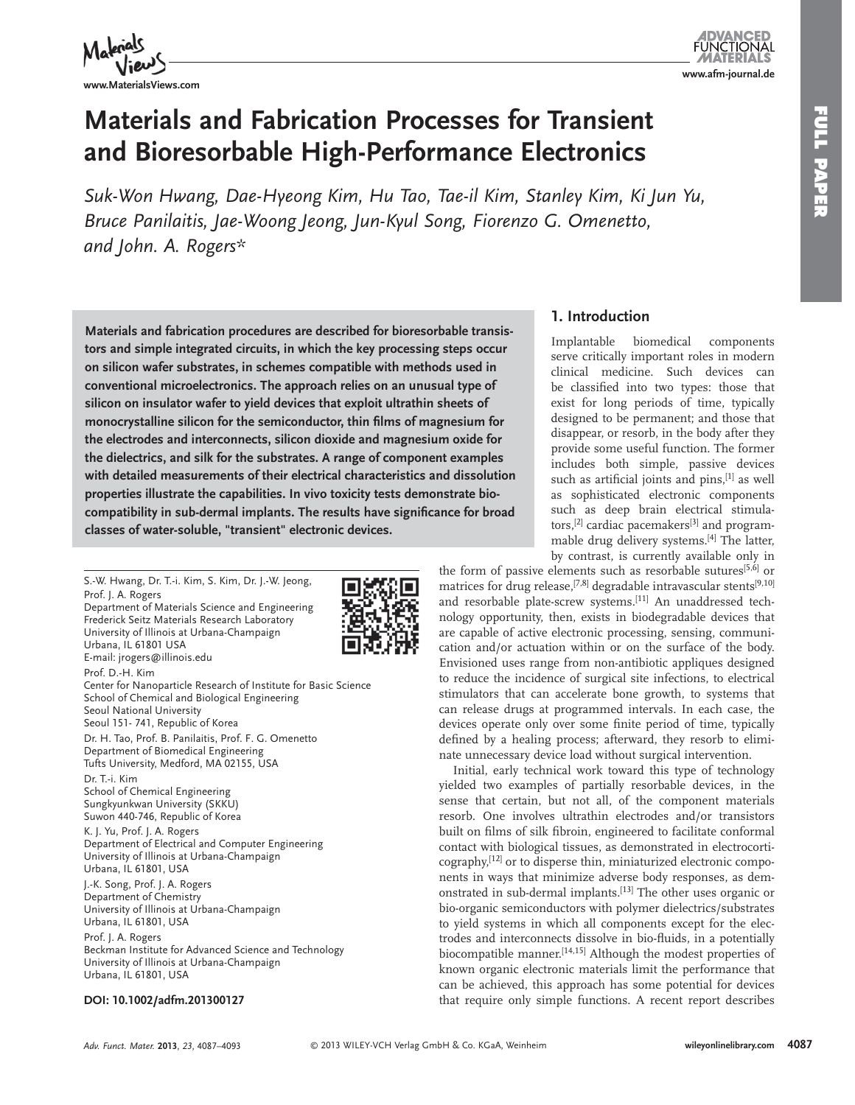



# **Materials and Fabrication Processes for Transient and Bioresorbable High-Performance Electronics**

Suk-Won Hwang, Dae-Hyeong Kim, Hu Tao, Tae-il Kim, Stanley Kim, Ki Jun Yu, Bruce Panilaitis, Jae-Woong Jeong, Jun-Kyul Song, Fiorenzo G. Omenetto,  *and John. A. Rogers\** 

 **Materials and fabrication procedures are described for bioresorbable transistors and simple integrated circuits, in which the key processing steps occur on silicon wafer substrates, in schemes compatible with methods used in conventional microelectronics. The approach relies on an unusual type of silicon on insulator wafer to yield devices that exploit ultrathin sheets of**  monocrystalline silicon for the semiconductor, thin films of magnesium for **the electrodes and interconnects, silicon dioxide and magnesium oxide for the dielectrics, and silk for the substrates. A range of component examples with detailed measurements of their electrical characteristics and dissolution properties illustrate the capabilities. In vivo toxicity tests demonstrate bio**compatibility in sub-dermal implants. The results have significance for broad **classes of water-soluble, "transient" electronic devices.** 

 S.-W. Hwang, Dr. T.-i. Kim, S. Kim, Dr. J.-W. Jeong, Prof. J. A. Rogers Department of Materials Science and Engineering Frederick Seitz Materials Research Laboratory University of Illinois at Urbana-Champaign Urbana, IL 61801 USA E-mail: jrogers@illinois.edu Prof. D.-H. Kim Center for Nanoparticle Research of Institute for Basic Science School of Chemical and Biological Engineering Seoul National University Seoul 151- 741, Republic of Korea Dr. H. Tao, Prof. B. Panilaitis, Prof. F. G. Omenetto Department of Biomedical Engineering Tufts University, Medford, MA 02155, USA Dr. T.-i. Kim School of Chemical Engineering Sungkyunkwan University (SKKU) Suwon 440-746, Republic of Korea K. J. Yu, Prof. J. A. Rogers Department of Electrical and Computer Engineering University of Illinois at Urbana-Champaign Urbana, IL 61801, USA J.-K. Song, Prof. J. A. Rogers Department of Chemistry University of Illinois at Urbana-Champaign Urbana, IL 61801, USA Prof. J. A. Rogers Beckman Institute for Advanced Science and Technology University of Illinois at Urbana-Champaign Urbana, IL 61801, USA

#### **DOI: 10.1002/adfm.201300127**



serve critically important roles in modern clinical medicine. Such devices can be classified into two types: those that exist for long periods of time, typically designed to be permanent; and those that disappear, or resorb, in the body after they provide some useful function. The former includes both simple, passive devices such as artificial joints and pins, [1] as well as sophisticated electronic components such as deep brain electrical stimulators,<sup>[2]</sup> cardiac pacemakers<sup>[3]</sup> and programmable drug delivery systems.<sup>[4]</sup> The latter, by contrast, is currently available only in

the form of passive elements such as resorbable sutures<sup>[5,6]</sup> or matrices for drug release,<sup>[7,8]</sup> degradable intravascular stents<sup>[9,10]</sup> and resorbable plate-screw systems.<sup>[11]</sup> An unaddressed technology opportunity, then, exists in biodegradable devices that are capable of active electronic processing, sensing, communication and/or actuation within or on the surface of the body. Envisioned uses range from non-antibiotic appliques designed to reduce the incidence of surgical site infections, to electrical stimulators that can accelerate bone growth, to systems that can release drugs at programmed intervals. In each case, the devices operate only over some finite period of time, typically defined by a healing process; afterward, they resorb to eliminate unnecessary device load without surgical intervention.

 Initial, early technical work toward this type of technology yielded two examples of partially resorbable devices, in the sense that certain, but not all, of the component materials resorb. One involves ultrathin electrodes and/or transistors built on films of silk fibroin, engineered to facilitate conformal contact with biological tissues, as demonstrated in electrocorticography,<sup>[12]</sup> or to disperse thin, miniaturized electronic components in ways that minimize adverse body responses, as demonstrated in sub-dermal implants.<sup>[13]</sup> The other uses organic or bio-organic semiconductors with polymer dielectrics/substrates to yield systems in which all components except for the electrodes and interconnects dissolve in bio-fluids, in a potentially biocompatible manner.<sup>[14,15]</sup> Although the modest properties of known organic electronic materials limit the performance that can be achieved, this approach has some potential for devices that require only simple functions. A recent report describes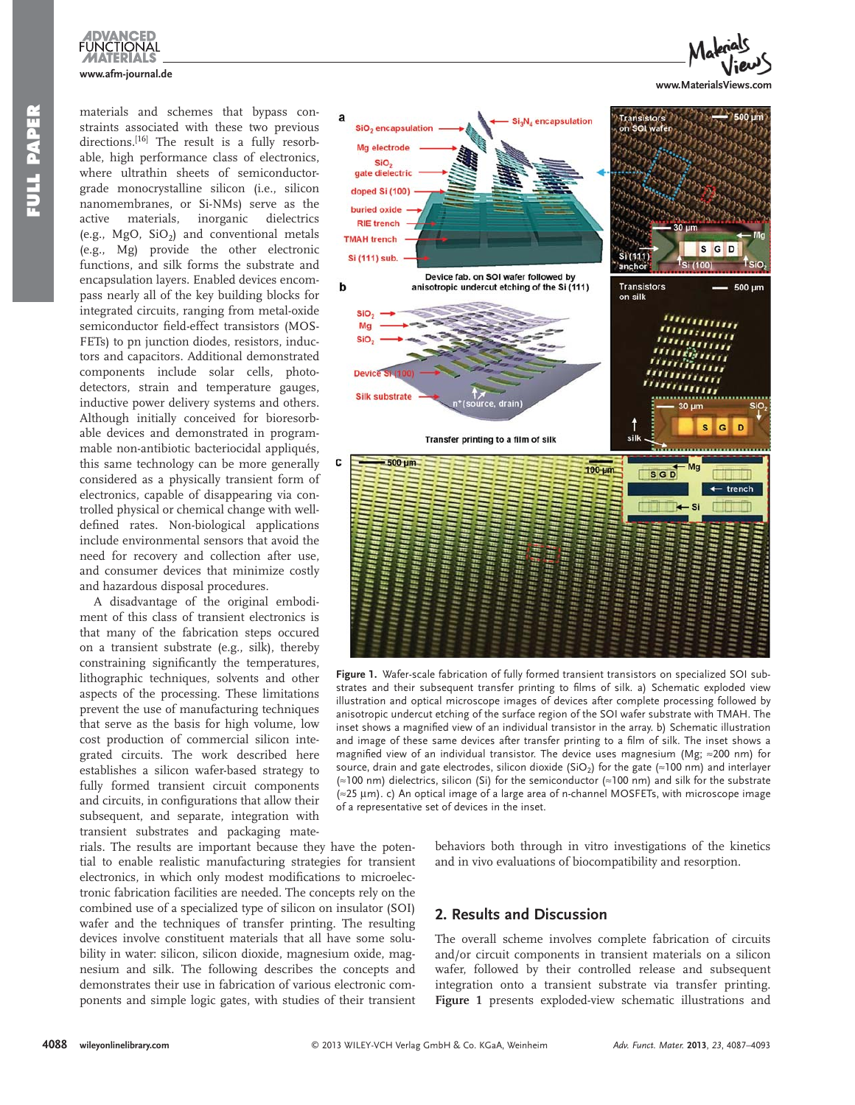

materials and schemes that bypass constraints associated with these two previous directions.<sup>[16]</sup> The result is a fully resorbable, high performance class of electronics, where ultrathin sheets of semiconductorgrade monocrystalline silicon (i.e., silicon nanomembranes, or Si-NMs) serve as the active materials, inorganic dielectrics (e.g.,  $MgO$ ,  $SiO<sub>2</sub>$ ) and conventional metals (e.g., Mg) provide the other electronic functions, and silk forms the substrate and encapsulation layers. Enabled devices encompass nearly all of the key building blocks for integrated circuits, ranging from metal-oxide semiconductor field-effect transistors (MOS-FETs) to pn junction diodes, resistors, inductors and capacitors. Additional demonstrated components include solar cells, photodetectors, strain and temperature gauges, inductive power delivery systems and others. Although initially conceived for bioresorbable devices and demonstrated in programmable non-antibiotic bacteriocidal appliqués, this same technology can be more generally considered as a physically transient form of electronics, capable of disappearing via controlled physical or chemical change with welldefined rates. Non-biological applications include environmental sensors that avoid the need for recovery and collection after use, and consumer devices that minimize costly and hazardous disposal procedures.

 A disadvantage of the original embodiment of this class of transient electronics is that many of the fabrication steps occured on a transient substrate (e.g., silk), thereby constraining significantly the temperatures, lithographic techniques, solvents and other aspects of the processing. These limitations prevent the use of manufacturing techniques that serve as the basis for high volume, low cost production of commercial silicon integrated circuits. The work described here establishes a silicon wafer-based strategy to fully formed transient circuit components and circuits, in configurations that allow their subsequent, and separate, integration with transient substrates and packaging mate-

rials. The results are important because they have the potential to enable realistic manufacturing strategies for transient electronics, in which only modest modifications to microelectronic fabrication facilities are needed. The concepts rely on the combined use of a specialized type of silicon on insulator (SOI) wafer and the techniques of transfer printing. The resulting devices involve constituent materials that all have some solubility in water: silicon, silicon dioxide, magnesium oxide, magnesium and silk. The following describes the concepts and demonstrates their use in fabrication of various electronic components and simple logic gates, with studies of their transient



Figure 1. Wafer-scale fabrication of fully formed transient transistors on specialized SOI substrates and their subsequent transfer printing to films of silk. a) Schematic exploded view illustration and optical microscope images of devices after complete processing followed by anisotropic undercut etching of the surface region of the SOI wafer substrate with TMAH. The inset shows a magnified view of an individual transistor in the array. b) Schematic illustration and image of these same devices after transfer printing to a film of silk. The inset shows a magnified view of an individual transistor. The device uses magnesium (Mg;  $\approx$ 200 nm) for source, drain and gate electrodes, silicon dioxide (SiO<sub>2</sub>) for the gate (≈100 nm) and interlayer ( $\approx$ 100 nm) dielectrics, silicon (Si) for the semiconductor ( $\approx$ 100 nm) and silk for the substrate  $\approx$ 25 μm). c) An optical image of a large area of n-channel MOSFETs, with microscope image of a representative set of devices in the inset.

behaviors both through in vitro investigations of the kinetics and in vivo evaluations of biocompatibility and resorption.

# **2. Results and Discussion**

 The overall scheme involves complete fabrication of circuits and/or circuit components in transient materials on a silicon wafer, followed by their controlled release and subsequent integration onto a transient substrate via transfer printing. **Figure 1** presents exploded-view schematic illustrations and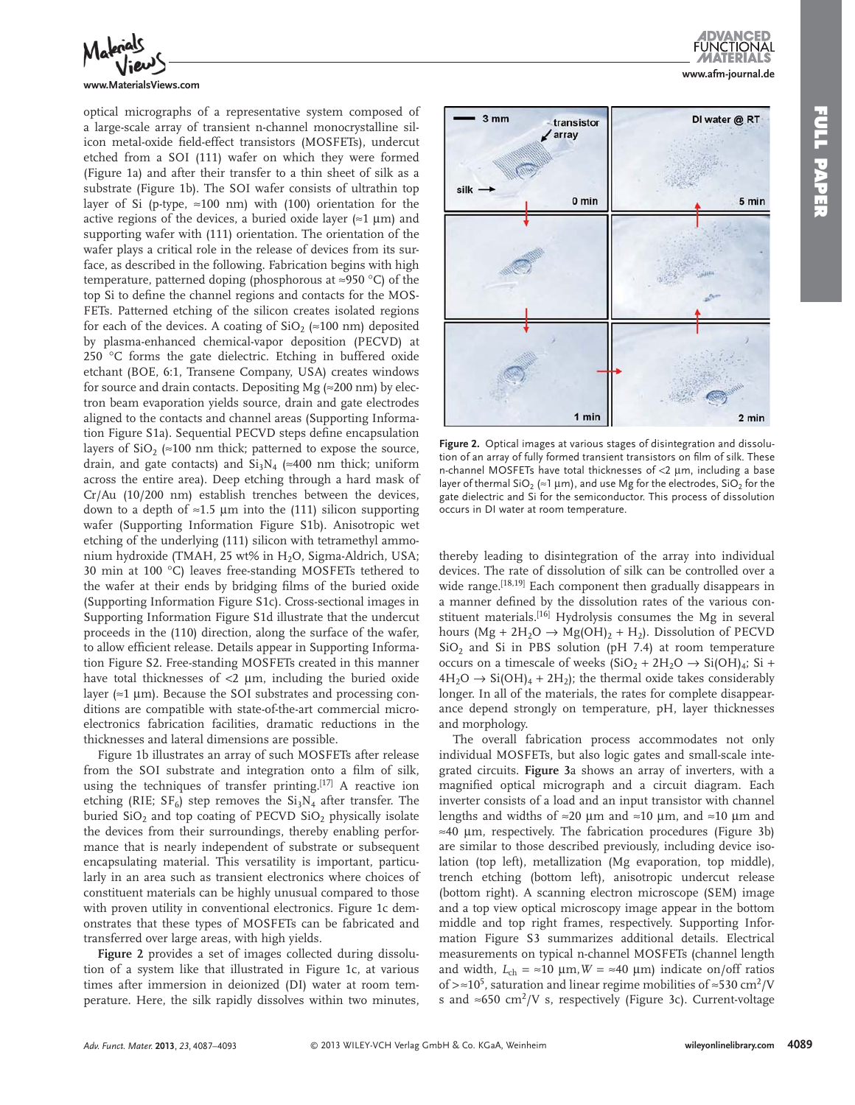

#### **www.MaterialsViews.com**

optical micrographs of a representative system composed of a large-scale array of transient n-channel monocrystalline silicon metal-oxide field-effect transistors (MOSFETs), undercut etched from a SOI (111) wafer on which they were formed (Figure 1a) and after their transfer to a thin sheet of silk as a substrate (Figure 1b). The SOI wafer consists of ultrathin top layer of Si (p-type,  $\approx 100$  nm) with (100) orientation for the active regions of the devices, a buried oxide layer ( $\approx$ 1 µm) and supporting wafer with (111) orientation. The orientation of the wafer plays a critical role in the release of devices from its surface, as described in the following. Fabrication begins with high temperature, patterned doping (phosphorous at ≈950 °C) of the top Si to define the channel regions and contacts for the MOS-FETs. Patterned etching of the silicon creates isolated regions for each of the devices. A coating of  $SiO_2 \approx 100$  nm) deposited by plasma-enhanced chemical-vapor deposition (PECVD) at 250  $\degree$ C forms the gate dielectric. Etching in buffered oxide etchant (BOE, 6:1, Transene Company, USA) creates windows for source and drain contacts. Depositing Mg ( $\approx$ 200 nm) by electron beam evaporation yields source, drain and gate electrodes aligned to the contacts and channel areas (Supporting Information Figure S1a). Sequential PECVD steps define encapsulation layers of  $SiO<sub>2</sub>$  ( $\approx$  100 nm thick; patterned to expose the source, drain, and gate contacts) and  $Si<sub>3</sub>N<sub>4</sub>$  (≈400 nm thick; uniform across the entire area). Deep etching through a hard mask of Cr/Au (10/200 nm) establish trenches between the devices, down to a depth of  $\approx$ 1.5 µm into the (111) silicon supporting wafer (Supporting Information Figure S1b). Anisotropic wet etching of the underlying (111) silicon with tetramethyl ammonium hydroxide (TMAH, 25 wt% in H<sub>2</sub>O, Sigma-Aldrich, USA; 30 min at 100 °C) leaves free-standing MOSFETs tethered to the wafer at their ends by bridging films of the buried oxide (Supporting Information Figure S1c). Cross-sectional images in Supporting Information Figure S1d illustrate that the undercut proceeds in the (110) direction, along the surface of the wafer, to allow efficient release. Details appear in Supporting Information Figure S2. Free-standing MOSFETs created in this manner have total thicknesses of  $<$ 2  $\mu$ m, including the buried oxide layer ( $\approx$ 1 µm). Because the SOI substrates and processing conditions are compatible with state-of-the-art commercial microelectronics fabrication facilities, dramatic reductions in the thicknesses and lateral dimensions are possible.

Figure 1b illustrates an array of such MOSFETs after release from the SOI substrate and integration onto a film of silk, using the techniques of transfer printing.<sup>[17]</sup> A reactive ion etching (RIE;  $SF_6$ ) step removes the  $Si_3N_4$  after transfer. The buried  $SiO<sub>2</sub>$  and top coating of PECVD  $SiO<sub>2</sub>$  physically isolate the devices from their surroundings, thereby enabling performance that is nearly independent of substrate or subsequent encapsulating material. This versatility is important, particularly in an area such as transient electronics where choices of constituent materials can be highly unusual compared to those with proven utility in conventional electronics. Figure 1c demonstrates that these types of MOSFETs can be fabricated and transferred over large areas, with high yields.

**Figure 2** provides a set of images collected during dissolution of a system like that illustrated in Figure 1c, at various times after immersion in deionized (DI) water at room temperature. Here, the silk rapidly dissolves within two minutes,



Figure 2. Optical images at various stages of disintegration and dissolution of an array of fully formed transient transistors on film of silk. These n-channel MOSFETs have total thicknesses of <2 μm, including a base layer of thermal SiO<sub>2</sub> ( $\approx$ 1 µm), and use Mg for the electrodes, SiO<sub>2</sub> for the gate dielectric and Si for the semiconductor. This process of dissolution occurs in DI water at room temperature.

thereby leading to disintegration of the array into individual devices. The rate of dissolution of silk can be controlled over a wide range.<sup>[18,19]</sup> Each component then gradually disappears in a manner defined by the dissolution rates of the various constituent materials.<sup>[16]</sup> Hydrolysis consumes the Mg in several hours (Mg + 2H<sub>2</sub>O  $\rightarrow$  Mg(OH)<sub>2</sub> + H<sub>2</sub>). Dissolution of PECVD  $SiO<sub>2</sub>$  and Si in PBS solution (pH 7.4) at room temperature occurs on a timescale of weeks  $(SiO<sub>2</sub> + 2H<sub>2</sub>O \rightarrow Si(OH)<sub>4</sub>; Si +$  $4H_2O \rightarrow Si(OH)_4 + 2H_2$ ); the thermal oxide takes considerably longer. In all of the materials, the rates for complete disappearance depend strongly on temperature, pH, layer thicknesses and morphology.

 The overall fabrication process accommodates not only individual MOSFETs, but also logic gates and small-scale integrated circuits. **Figure 3** a shows an array of inverters, with a magnified optical micrograph and a circuit diagram. Each inverter consists of a load and an input transistor with channel lengths and widths of ≈20 µm and ≈10 µm, and ≈10 µm and  $\approx$ 40 µm, respectively. The fabrication procedures (Figure 3b) are similar to those described previously, including device isolation (top left), metallization (Mg evaporation, top middle), trench etching (bottom left), anisotropic undercut release (bottom right). A scanning electron microscope (SEM) image and a top view optical microscopy image appear in the bottom middle and top right frames, respectively. Supporting Information Figure S3 summarizes additional details. Electrical measurements on typical n-channel MOSFETs (channel length and width,  $L_{ch} = \approx 10 \text{ }\mu\text{m}$ ,  $W = \approx 40 \text{ }\mu\text{m}$ ) indicate on/off ratios of > ≈10<sup>5</sup>, saturation and linear regime mobilities of ≈530 cm<sup>2</sup>/V s and ≈650 cm<sup>2</sup>/V s, respectively (Figure 3c). Current-voltage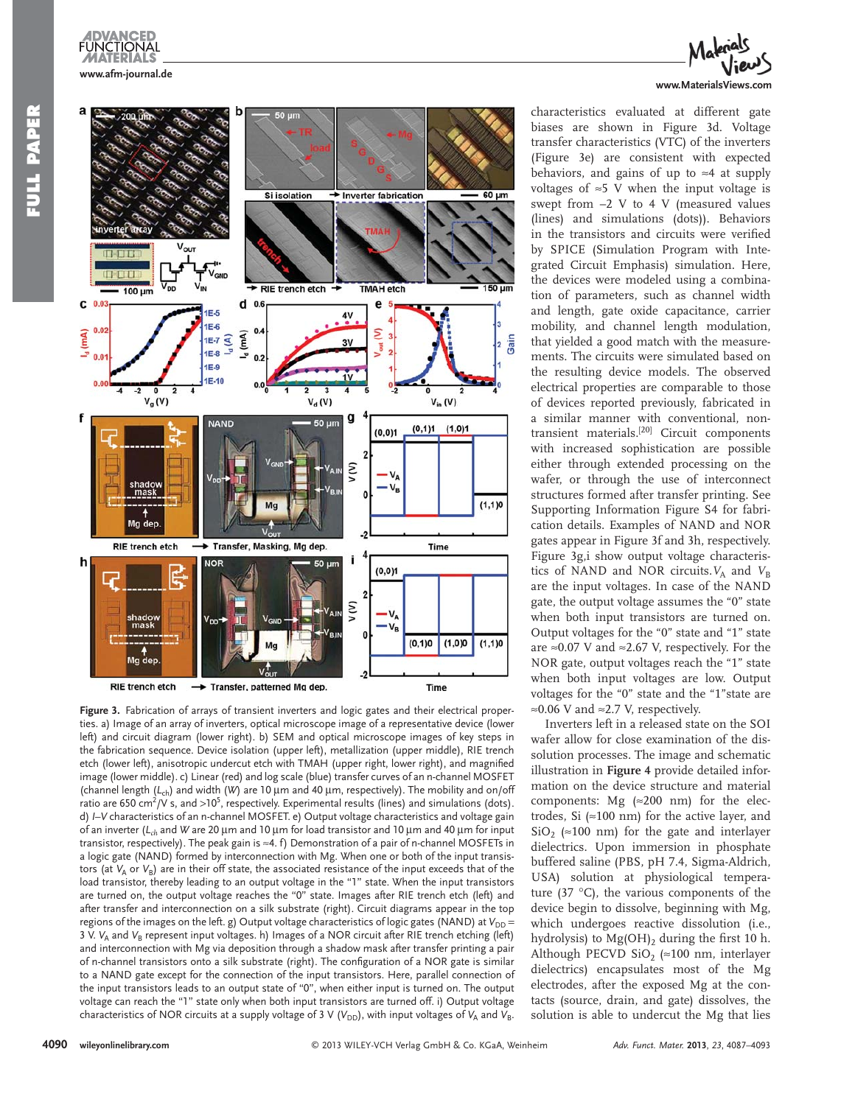



Figure 3. Fabrication of arrays of transient inverters and logic gates and their electrical properties. a) Image of an array of inverters, optical microscope image of a representative device (lower left) and circuit diagram (lower right). b) SEM and optical microscope images of key steps in the fabrication sequence. Device isolation (upper left), metallization (upper middle), RIE trench etch (lower left), anisotropic undercut etch with TMAH (upper right, lower right), and magnified image (lower middle). c) Linear (red) and log scale (blue) transfer curves of an n-channel MOSFET (channel length (L<sub>ch</sub>) and width (*W*) are 10 μm and 40 μm, respectively). The mobility and on/off ratio are 650 cm<sup>2</sup>/V s, and >10<sup>5</sup>, respectively. Experimental results (lines) and simulations (dots). d) *I* – *V* characteristics of an n-channel MOSFET. e) Output voltage characteristics and voltage gain of an inverter (*L<sub>ch</sub>* and *W* are 20 μm and 10 μm for load transistor and 10 μm and 40 μm for input transistor, respectively). The peak gain is ≈4. f) Demonstration of a pair of n-channel MOSFETs in a logic gate (NAND) formed by interconnection with Mg. When one or both of the input transistors (at *V*<sub>A</sub> or *V*<sub>B</sub>) are in their off state, the associated resistance of the input exceeds that of the load transistor, thereby leading to an output voltage in the "1" state. When the input transistors are turned on, the output voltage reaches the "0" state. Images after RIE trench etch (left) and after transfer and interconnection on a silk substrate (right). Circuit diagrams appear in the top regions of the images on the left. g) Output voltage characteristics of logic gates (NAND) at *V*<sub>DD</sub> = 3 V. *V*<sub>A</sub> and *V*<sub>B</sub> represent input voltages. h) Images of a NOR circuit after RIE trench etching (left) and interconnection with Mg via deposition through a shadow mask after transfer printing a pair of n-channel transistors onto a silk substrate (right). The configuration of a NOR gate is similar to a NAND gate except for the connection of the input transistors. Here, parallel connection of the input transistors leads to an output state of "0", when either input is turned on. The output voltage can reach the "1" state only when both input transistors are turned off. i) Output voltage characteristics of NOR circuits at a supply voltage of 3 V ( $V_{DD}$ ), with input voltages of  $V_A$  and  $V_B$ .

# **www.MaterialsViews.com**

characteristics evaluated at different gate biases are shown in Figure 3d. Voltage transfer characteristics (VTC) of the inverters (Figure 3e) are consistent with expected behaviors, and gains of up to  $\approx$ 4 at supply voltages of  $\approx$  5 V when the input voltage is swept from –2 V to 4 V (measured values (lines) and simulations (dots)). Behaviors in the transistors and circuits were verified by SPICE (Simulation Program with Integrated Circuit Emphasis) simulation. Here, the devices were modeled using a combination of parameters, such as channel width and length, gate oxide capacitance, carrier mobility, and channel length modulation, that yielded a good match with the measurements. The circuits were simulated based on the resulting device models. The observed electrical properties are comparable to those of devices reported previously, fabricated in a similar manner with conventional, nontransient materials.<sup>[20]</sup> Circuit components with increased sophistication are possible either through extended processing on the wafer, or through the use of interconnect structures formed after transfer printing. See Supporting Information Figure S4 for fabrication details. Examples of NAND and NOR gates appear in Figure 3f and 3h, respectively. Figure 3g,i show output voltage characteristics of NAND and NOR circuits.  $V_A$  and  $V_B$ are the input voltages. In case of the NAND gate, the output voltage assumes the "0" state when both input transistors are turned on. Output voltages for the "0" state and "1" state are ≈0.07 V and ≈2.67 V, respectively. For the NOR gate, output voltages reach the "1" state when both input voltages are low. Output voltages for the "0" state and the "1"state are ≈ 0.06 V and ≈ 2.7 V, respectively.

 Inverters left in a released state on the SOI wafer allow for close examination of the dissolution processes. The image and schematic illustration in **Figure 4** provide detailed information on the device structure and material components: Mg  $(\approx 200 \text{ nm})$  for the electrodes, Si  $(\approx 100 \text{ nm})$  for the active layer, and SiO<sub>2</sub> ( $\approx$ 100 nm) for the gate and interlayer dielectrics. Upon immersion in phosphate buffered saline (PBS, pH 7.4, Sigma-Aldrich, USA) solution at physiological temperature  $(37 \text{ °C})$ , the various components of the device begin to dissolve, beginning with Mg, which undergoes reactive dissolution (i.e., hydrolysis) to  $Mg(OH)$ , during the first 10 h. Although PECVD SiO<sub>2</sub> ( $\approx$  100 nm, interlayer dielectrics) encapsulates most of the Mg electrodes, after the exposed Mg at the contacts (source, drain, and gate) dissolves, the solution is able to undercut the Mg that lies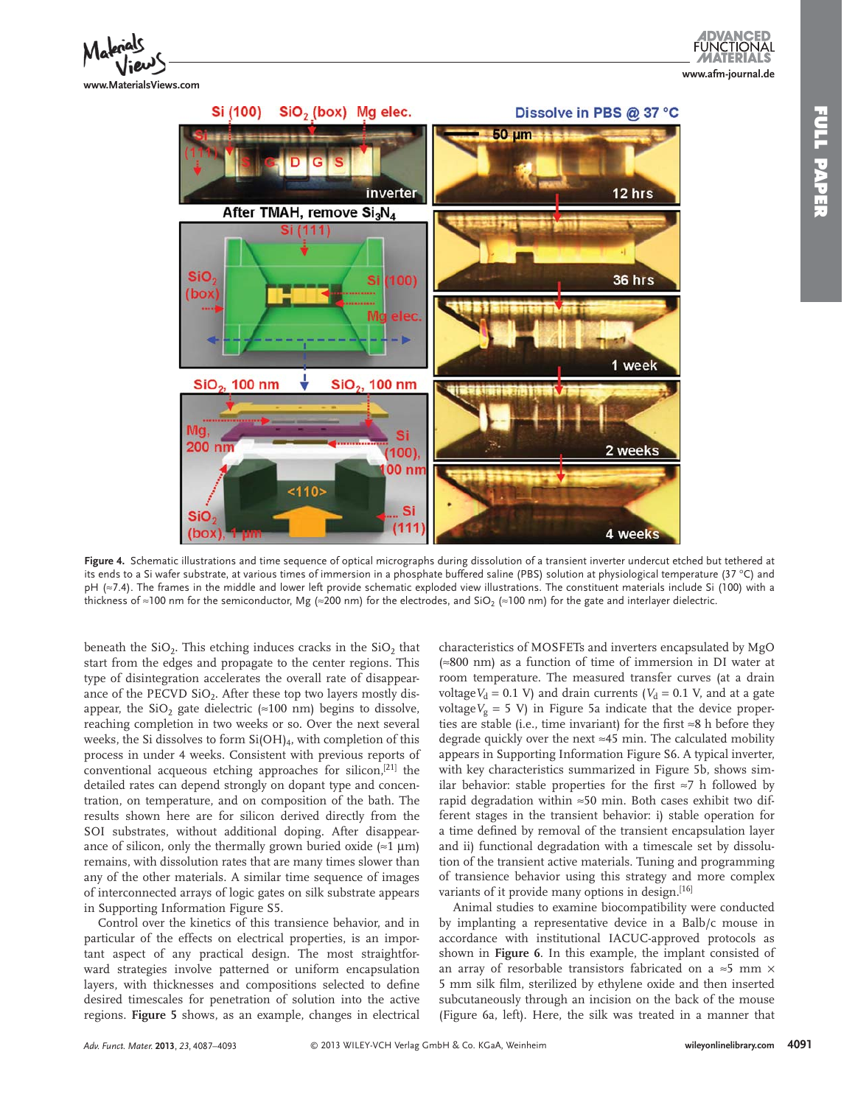



 **Figure 4 .** Schematic illustrations and time sequence of optical micrographs during dissolution of a transient inverter undercut etched but tethered at its ends to a Si wafer substrate, at various times of immersion in a phosphate buffered saline (PBS) solution at physiological temperature (37 °C) and pH (≈7.4). The frames in the middle and lower left provide schematic exploded view illustrations. The constituent materials include Si (100) with a thickness of ≈100 nm for the semiconductor, Mg (≈200 nm) for the electrodes, and SiO<sub>2</sub> (≈100 nm) for the gate and interlayer dielectric.

beneath the  $SiO<sub>2</sub>$ . This etching induces cracks in the  $SiO<sub>2</sub>$  that start from the edges and propagate to the center regions. This type of disintegration accelerates the overall rate of disappearance of the PECVD  $SiO<sub>2</sub>$ . After these top two layers mostly disappear, the SiO<sub>2</sub> gate dielectric ( $\approx$ 100 nm) begins to dissolve, reaching completion in two weeks or so. Over the next several weeks, the Si dissolves to form  $Si(OH)_4$ , with completion of this process in under 4 weeks. Consistent with previous reports of conventional acqueous etching approaches for silicon,<sup>[21]</sup> the detailed rates can depend strongly on dopant type and concentration, on temperature, and on composition of the bath. The results shown here are for silicon derived directly from the SOI substrates, without additional doping. After disappearance of silicon, only the thermally grown buried oxide  $(\approx 1 \mu m)$ remains, with dissolution rates that are many times slower than any of the other materials. A similar time sequence of images of interconnected arrays of logic gates on silk substrate appears in Supporting Information Figure S5.

 Control over the kinetics of this transience behavior, and in particular of the effects on electrical properties, is an important aspect of any practical design. The most straightforward strategies involve patterned or uniform encapsulation layers, with thicknesses and compositions selected to define desired timescales for penetration of solution into the active regions. **Figure 5** shows, as an example, changes in electrical

characteristics of MOSFETs and inverters encapsulated by MgO  $\approx 800$  nm) as a function of time of immersion in DI water at room temperature. The measured transfer curves (at a drain voltage  $V_d = 0.1$  V) and drain currents ( $V_d = 0.1$  V, and at a gate voltage  $V_g = 5$  V) in Figure 5a indicate that the device properties are stable (i.e., time invariant) for the first  $\approx 8$  h before they degrade quickly over the next  $\approx$  45 min. The calculated mobility appears in Supporting Information Figure S6. A typical inverter, with key characteristics summarized in Figure 5b, shows similar behavior: stable properties for the first  $\approx$  7 h followed by rapid degradation within  $\approx 50$  min. Both cases exhibit two different stages in the transient behavior: i) stable operation for a time defined by removal of the transient encapsulation layer and ii) functional degradation with a timescale set by dissolution of the transient active materials. Tuning and programming of transience behavior using this strategy and more complex variants of it provide many options in design.<sup>[16]</sup>

 Animal studies to examine biocompatibility were conducted by implanting a representative device in a Balb/c mouse in accordance with institutional IACUC-approved protocols as shown in **Figure 6** . In this example, the implant consisted of an array of resorbable transistors fabricated on a  $\approx$  5 mm  $\times$ 5 mm silk film, sterilized by ethylene oxide and then inserted subcutaneously through an incision on the back of the mouse (Figure 6a, left). Here, the silk was treated in a manner that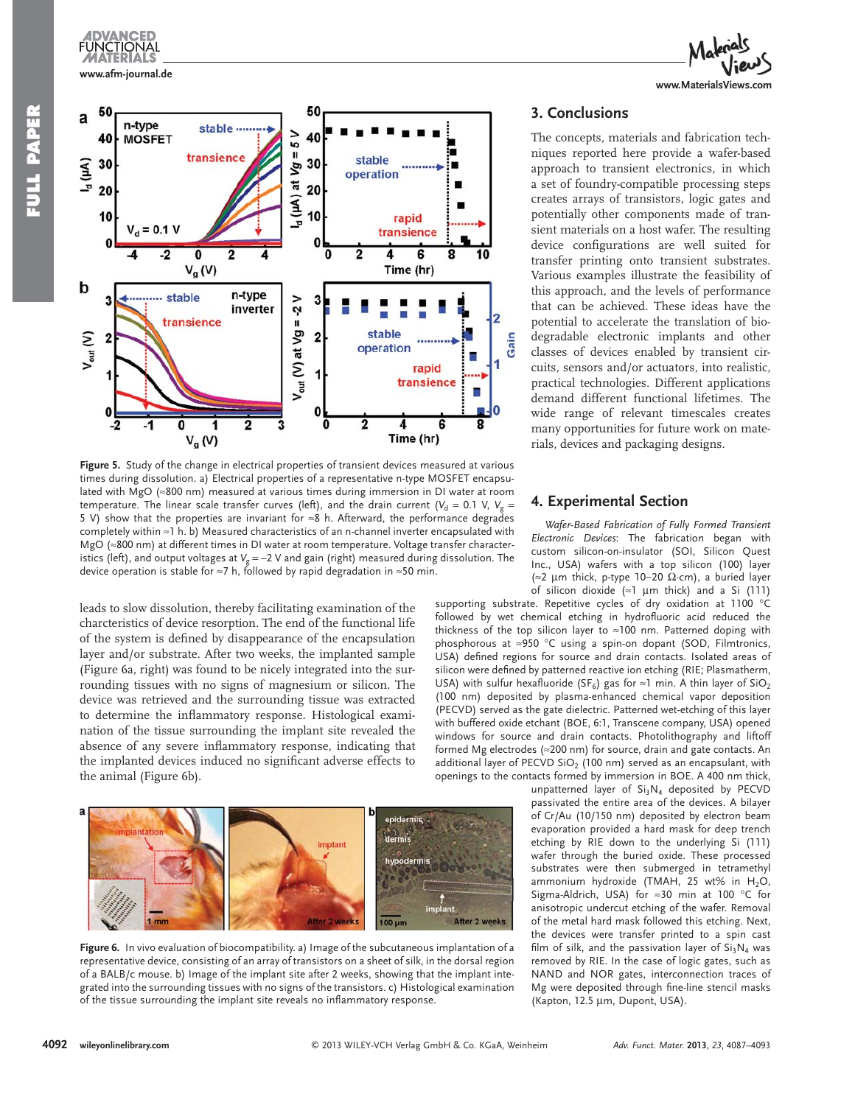



Figure 5. Study of the change in electrical properties of transient devices measured at various times during dissolution. a) Electrical properties of a representative n-type MOSFET encapsulated with MgO (≈800 nm) measured at various times during immersion in DI water at room temperature. The linear scale transfer curves (left), and the drain current ( $V_d = 0.1$  V,  $V_g =$ 5 V) show that the properties are invariant for ≈8 h. Afterward, the performance degrades completely within ≈ 1 h. b) Measured characteristics of an n-channel inverter encapsulated with MgO (≈800 nm) at different times in DI water at room temperature. Voltage transfer characteristics (left), and output voltages at *V<sub>g</sub>* = -2 V and gain (right) measured during dissolution. The device operation is stable for ≈7 h, followed by rapid degradation in ≈50 min.

leads to slow dissolution, thereby facilitating examination of the charcteristics of device resorption. The end of the functional life of the system is defined by disappearance of the encapsulation layer and/or substrate. After two weeks, the implanted sample (Figure 6a, right) was found to be nicely integrated into the surrounding tissues with no signs of magnesium or silicon. The device was retrieved and the surrounding tissue was extracted to determine the inflammatory response. Histological examination of the tissue surrounding the implant site revealed the absence of any severe inflammatory response, indicating that the implanted devices induced no significant adverse effects to the animal (Figure 6b).



Figure 6. In vivo evaluation of biocompatibility. a) Image of the subcutaneous implantation of a representative device, consisting of an array of transistors on a sheet of silk, in the dorsal region of a BALB/c mouse. b) Image of the implant site after 2 weeks, showing that the implant integrated into the surrounding tissues with no signs of the transistors. c) Histological examination of the tissue surrounding the implant site reveals no inflammatory response.



# **3. Conclusions**

 The concepts, materials and fabrication techniques reported here provide a wafer-based approach to transient electronics, in which a set of foundry-compatible processing steps creates arrays of transistors, logic gates and potentially other components made of transient materials on a host wafer. The resulting device configurations are well suited for transfer printing onto transient substrates. Various examples illustrate the feasibility of this approach, and the levels of performance that can be achieved. These ideas have the potential to accelerate the translation of biodegradable electronic implants and other classes of devices enabled by transient circuits, sensors and/or actuators, into realistic, practical technologies. Different applications demand different functional lifetimes. The wide range of relevant timescales creates many opportunities for future work on materials, devices and packaging designs.

### **4. Experimental Section**

*Wafer-Based Fabrication of Fully Formed Transient Electronic Devices* : The fabrication began with custom silicon-on-insulator (SOI, Silicon Quest Inc., USA) wafers with a top silicon (100) layer (≈2 μm thick, p-type 10−20  $Ω$ · cm), a buried layer of silicon dioxide ( $\approx$ 1 µm thick) and a Si (111)

supporting substrate. Repetitive cycles of dry oxidation at 1100 °C followed by wet chemical etching in hydrofluoric acid reduced the thickness of the top silicon layer to ≈ 100 nm. Patterned doping with phosphorous at ≈950 °C using a spin-on dopant (SOD, Filmtronics, USA) defined regions for source and drain contacts. Isolated areas of silicon were defined by patterned reactive ion etching (RIE; Plasmatherm, USA) with sulfur hexafluoride (SF<sub>6</sub>) gas for ≈1 min. A thin layer of SiO<sub>2</sub> (100 nm) deposited by plasma-enhanced chemical vapor deposition (PECVD) served as the gate dielectric. Patterned wet-etching of this layer with buffered oxide etchant (BOE, 6:1, Transcene company, USA) opened windows for source and drain contacts. Photolithography and liftoff formed Mg electrodes ( $\approx$ 200 nm) for source, drain and gate contacts. An additional layer of PECVD  $SiO<sub>2</sub>$  (100 nm) served as an encapsulant, with openings to the contacts formed by immersion in BOE. A 400 nm thick,

unpatterned layer of  $Si<sub>3</sub>N<sub>4</sub>$  deposited by PECVD passivated the entire area of the devices. A bilayer of Cr/Au (10/150 nm) deposited by electron beam evaporation provided a hard mask for deep trench etching by RIE down to the underlying Si (111) wafer through the buried oxide. These processed substrates were then submerged in tetramethyl ammonium hydroxide (TMAH, 25 wt% in  $H_2O$ , Sigma-Aldrich, USA) for  $\approx$ 30 min at 100 °C for anisotropic undercut etching of the wafer. Removal of the metal hard mask followed this etching. Next, the devices were transfer printed to a spin cast film of silk, and the passivation layer of  $Si<sub>3</sub>N<sub>4</sub>$  was removed by RIE. In the case of logic gates, such as NAND and NOR gates, interconnection traces of Mg were deposited through fine-line stencil masks (Kapton, 12.5 μm, Dupont, USA).

**IDVANCED FUNCTIONAL**